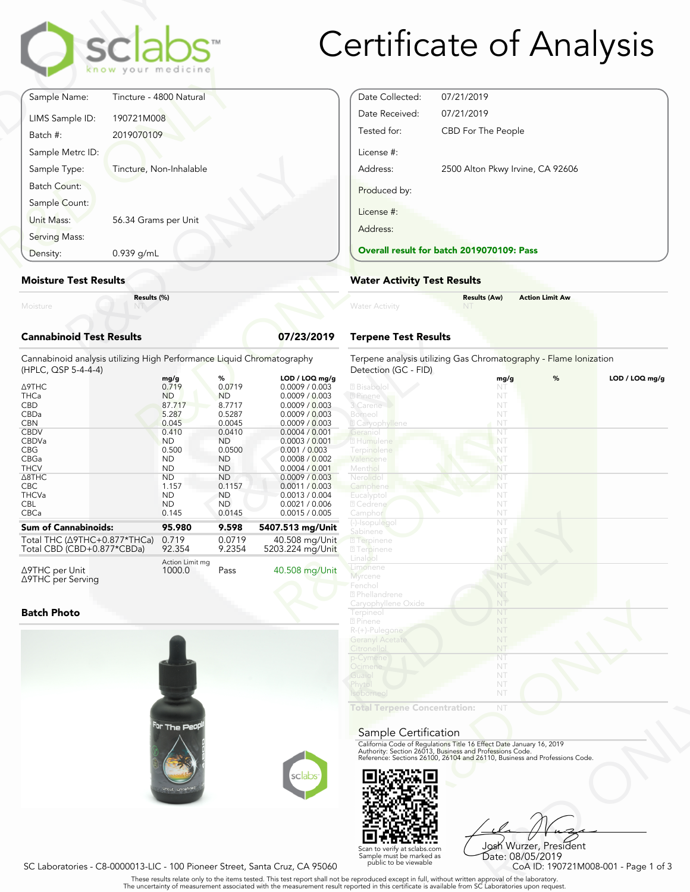

# Certificate of Analysis

| Moisture                     | Results (%)             |  |
|------------------------------|-------------------------|--|
| <b>Moisture Test Results</b> |                         |  |
| Density:                     | 0.939 g/mL              |  |
| Serving Mass:                |                         |  |
| Sample Count:<br>Unit Mass:  | 56.34 Grams per Unit    |  |
| <b>Batch Count:</b>          |                         |  |
| Sample Type:                 | Tincture, Non-Inhalable |  |
| Sample Metrc ID:             |                         |  |
| Batch #:                     | 2019070109              |  |
| LIMS Sample ID:              | 190721M008              |  |
| Sample Name:                 | Tincture - 4800 Natural |  |

#### **Moisture Test Results**

#### **Cannabinoid Test Results 07/23/2019**

| $0.939$ g/mL<br>Density:                                                                                                                                                              |                                                                                                                                                                 |                                                                                                                                                              |                                                                                                                                                                                                                                                                           | <b>Overall result for batc</b>                                                                                                                                                               |
|---------------------------------------------------------------------------------------------------------------------------------------------------------------------------------------|-----------------------------------------------------------------------------------------------------------------------------------------------------------------|--------------------------------------------------------------------------------------------------------------------------------------------------------------|---------------------------------------------------------------------------------------------------------------------------------------------------------------------------------------------------------------------------------------------------------------------------|----------------------------------------------------------------------------------------------------------------------------------------------------------------------------------------------|
| <b>Moisture Test Results</b>                                                                                                                                                          | <b>Water Activity Test R</b>                                                                                                                                    |                                                                                                                                                              |                                                                                                                                                                                                                                                                           |                                                                                                                                                                                              |
| Results (%)<br>Moisture                                                                                                                                                               |                                                                                                                                                                 |                                                                                                                                                              |                                                                                                                                                                                                                                                                           | <b>Water Activity</b>                                                                                                                                                                        |
| <b>Cannabinoid Test Results</b>                                                                                                                                                       |                                                                                                                                                                 |                                                                                                                                                              | 07/23/2019                                                                                                                                                                                                                                                                | <b>Terpene Test Results</b>                                                                                                                                                                  |
| Cannabinoid analysis utilizing High Performance Liquid Chromatography<br>(HPLC, QSP 5-4-4-4)                                                                                          |                                                                                                                                                                 |                                                                                                                                                              |                                                                                                                                                                                                                                                                           | Terpene analysis utilizing<br>Detection (GC - FID)                                                                                                                                           |
| ∆9THC<br><b>THCa</b><br><b>CBD</b><br>CBDa<br><b>CBN</b><br><b>CBDV</b><br>CBDVa<br><b>CBG</b><br>CBGa<br><b>THCV</b><br>$\triangle$ 8THC<br><b>CBC</b><br><b>THCVa</b><br><b>CBL</b> | mg/g<br>0.719<br><b>ND</b><br>87.717<br>5.287<br>0.045<br>0.410<br><b>ND</b><br>0.500<br><b>ND</b><br><b>ND</b><br><b>ND</b><br>1.157<br><b>ND</b><br><b>ND</b> | %<br>0.0719<br><b>ND</b><br>8.7717<br>0.5287<br>0.0045<br>0.0410<br><b>ND</b><br>0.0500<br><b>ND</b><br><b>ND</b><br><b>ND</b><br>0.1157<br><b>ND</b><br>ND. | LOD / LOQ mg/g<br>0.0009 / 0.003<br>0.0009 / 0.003<br>0.0009 / 0.003<br>0.0009 / 0.003<br>0.0009 / 0.003<br>0.0004 / 0.001<br>0.0003 / 0.001<br>0.001 / 0.003<br>0.0008 / 0.002<br>0.0004 / 0.001<br>0.0009 / 0.003<br>0.0011 / 0.003<br>0.0013 / 0.004<br>0.0021 / 0.006 | 2 Bisabolol<br>2 Pinene<br>3 Carene<br>Borneol<br><b>Z</b> Caryophyllene<br>Geraniol<br>2 Humulene<br>Terpinolene<br>Valencene<br>Menthol<br>Nerolido<br>Camphene<br>Eucalyptol<br>2 Cedrene |
| CBCa<br><b>Sum of Cannabinoids:</b>                                                                                                                                                   | 0.145<br>95.980                                                                                                                                                 | 0.0145<br>9.598                                                                                                                                              | 0.0015 / 0.005<br>5407.513 mg/Unit                                                                                                                                                                                                                                        | Camphor<br>(-)-Isopulegol                                                                                                                                                                    |
| Total THC (∆9THC+0.877*THCa)<br>Total CBD (CBD+0.877*CBDa)                                                                                                                            | 0.719<br>92.354                                                                                                                                                 | 0.0719<br>9.2354                                                                                                                                             | 40.508 mg/Unit<br>5203.224 mg/Unit                                                                                                                                                                                                                                        | Sabinene<br>2 Terpinene<br><b>27 Terpinene</b>                                                                                                                                               |
| $\triangle$ 9THC per Unit                                                                                                                                                             | Action Limit mg<br>1000.0                                                                                                                                       | Pass                                                                                                                                                         | 40.508 mg/Unit                                                                                                                                                                                                                                                            | Linalool<br>Limonene                                                                                                                                                                         |

#### **Batch Photo**

Δ9THC per Serving



| Date Collected: | 07/21/2019                                |
|-----------------|-------------------------------------------|
| Date Received:  | 07/21/2019                                |
| Tested for:     | CBD For The People                        |
| License #:      |                                           |
| Address:        | 2500 Alton Pkwy Irvine, CA 92606          |
| Produced by:    |                                           |
| License #:      |                                           |
| Address:        |                                           |
|                 | Overall result for batch 2019070109: Pass |

#### **Water Activity Test Results**

|                | <b>Results (Aw)</b> | <b>Action Limit Aw</b> |  |
|----------------|---------------------|------------------------|--|
| Water Activity | <b>NT</b>           |                        |  |
|                |                     |                        |  |

### **Terpene Test Results**

| atography      | Terpene analysis utilizing Gas Chromatography - Flame Ionization<br>Detection (GC - FID)                                               |      |   |                |
|----------------|----------------------------------------------------------------------------------------------------------------------------------------|------|---|----------------|
| LOD / LOQ mg/g |                                                                                                                                        | mg/g | % | LOD / LOQ mg/g |
| 0.0009 / 0.003 | 2 Bisabolol                                                                                                                            | NT   |   |                |
| 0.0009 / 0.003 | 2 Pinene                                                                                                                               | NT   |   |                |
| 0.0009 / 0.003 | 3 Carene                                                                                                                               | NT   |   |                |
| 0.0009 / 0.003 | Borneol                                                                                                                                | NT   |   |                |
| 0.0009 / 0.003 | <b>Z</b> Caryophyllene                                                                                                                 | NT   |   |                |
| 0.0004 / 0.001 | Geranio                                                                                                                                | NT   |   |                |
| 0.0003 / 0.001 | 2 Humulene                                                                                                                             | NT   |   |                |
| 0.001 / 0.003  | Terpinolene                                                                                                                            | NT   |   |                |
| 0.0008 / 0.002 | Valencene                                                                                                                              | NT   |   |                |
| 0.0004 / 0.001 | Menthol                                                                                                                                | NT   |   |                |
| 0.0009 / 0.003 | Nerolidol                                                                                                                              | NT   |   |                |
| 0.0011 / 0.003 | Camphene                                                                                                                               | NT   |   |                |
| 0.0013 / 0.004 | Eucalyptol                                                                                                                             | NT   |   |                |
| 0.0021 / 0.006 | 2 Cedrene                                                                                                                              | NT   |   |                |
| 0.0015 / 0.005 | Camphor                                                                                                                                | NT   |   |                |
|                | (-)-Isopulegol                                                                                                                         | NT   |   |                |
| 07.513 mg/Unit | Sabinene                                                                                                                               | NT   |   |                |
| 40.508 mg/Unit | <b>7</b> Terpinene                                                                                                                     | NT.  |   |                |
| 03.224 mg/Unit | <b>27 Terpinene</b>                                                                                                                    | NT   |   |                |
|                | Linalool                                                                                                                               | NT.  |   |                |
| 40.508 mg/Unit | Limonene                                                                                                                               | NT   |   |                |
|                | <b>Myrcene</b>                                                                                                                         | NT   |   |                |
|                | Fenchol                                                                                                                                | NT   |   |                |
|                | <sup>2</sup> Phellandrene                                                                                                              | NT   |   |                |
|                | Caryophyllene Oxide                                                                                                                    | NT   |   |                |
|                | Terpineol                                                                                                                              | NT   |   |                |
|                | 2 Pinene                                                                                                                               | NT   |   |                |
|                | R-(+)-Pulegone                                                                                                                         | NT   |   |                |
|                | <b>Geranyl Acetate</b>                                                                                                                 | NT   |   |                |
|                | Citronellol                                                                                                                            | NT   |   |                |
|                | p-Cymene                                                                                                                               | NT   |   |                |
|                | Ocimene                                                                                                                                | NT   |   |                |
|                | Guaiol                                                                                                                                 | NT   |   |                |
|                | Phytol                                                                                                                                 | NT   |   |                |
|                | soborneo.                                                                                                                              | NT   |   |                |
|                |                                                                                                                                        |      |   |                |
|                | <b>Total Terpene Concentration:</b>                                                                                                    | NT   |   |                |
|                |                                                                                                                                        |      |   |                |
|                |                                                                                                                                        |      |   |                |
|                | Sample Certification                                                                                                                   |      |   |                |
|                | California Code of Regulations Title 16 Effect Date January 16, 2019                                                                   |      |   |                |
|                | Authority: Section 26013, Business and Professions Code.<br>Reference: Sections 26100, 26104 and 26110, Business and Professions Code. |      |   |                |
|                |                                                                                                                                        |      |   |                |
|                |                                                                                                                                        |      |   |                |
| sclabs         |                                                                                                                                        |      |   |                |
|                |                                                                                                                                        |      |   |                |

#### Sample Certification



NT<br>
NT<br>
Fect Date January 16, 2019<br>
rofessions Code.<br>
9110, Business and Professions Code.<br>
910, Business and Professions Code.<br>
9206 Wurzer, President<br>
Date: 08/05/2019<br>
CoA ID: 190721M008-001 - Page 1 of 3<br>
pproval of th Josh Wurzer, President Date: 08/05/2019

SC Laboratories - C8-0000013-LIC - 100 Pioneer Street, Santa Cruz, CA 95060

Scan to verify at sclabs.com Sample must be marked as public to be viewable

. These results relate only to the items tested. This test report shall not be reproduced except in full, without written approval of the laboratory.<br>The uncertainty of measurement associated with the measurement result re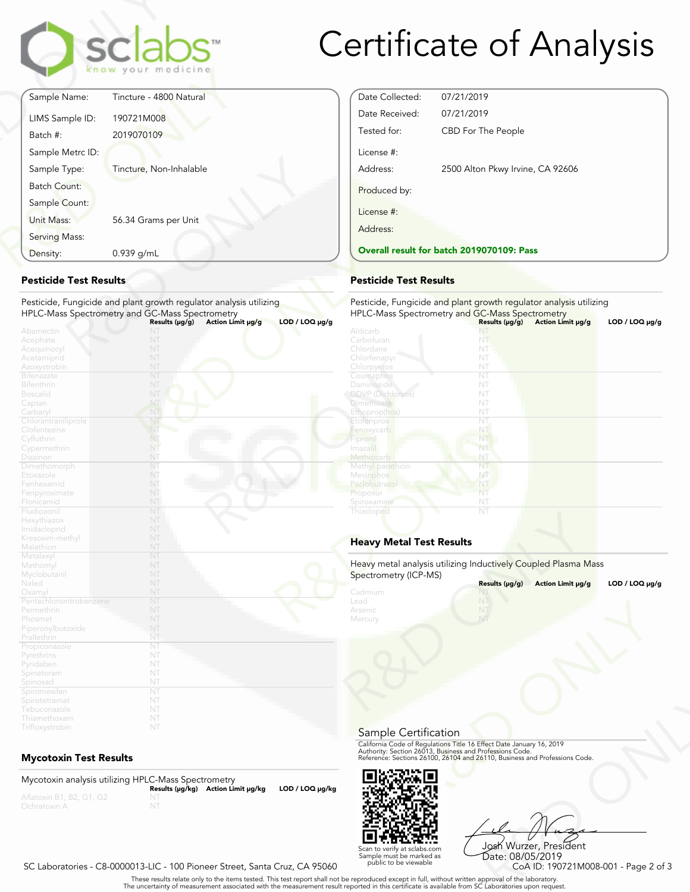

# Certificate of Analysis

Date Collected: 07/21/2019 Date Received: 07/21/2019

License #:

Produced by:

License #: Address:

Tested for: CBD For The People

**Overall result for batch 2019070109: Pass**

Address: 2500 Alton Pkwy Irvine, CA 92606

Pesticide, Fungicide and plant growth regulator analysis utilizing

HPLC-Mass Spectrometry and GC-Mass Spectrometry **Results (μg/g) Action Limit μg/g LOD / LOQ μg/g** NT

|                     | <b>sclabs</b><br>know your medicine |
|---------------------|-------------------------------------|
| Sample Name:        | Tincture - 4800 Natural             |
| LIMS Sample ID:     | 190721M008                          |
| Batch #:            | 2019070109                          |
| Sample Metrc ID:    |                                     |
| Sample Type:        | Tincture, Non-Inhalable             |
| <b>Batch Count:</b> |                                     |
| Sample Count:       |                                     |
| Unit Mass:          | 56.34 Grams per Unit                |
| Serving Mass:       |                                     |
| Density:            | 0.939 g/mL                          |

### **Pesticide Test Results**

| Density:                                                                        | 0.939 g/mL                                                                                                                                                                          | Overall result for batch 2019070109: F                                                                |  |
|---------------------------------------------------------------------------------|-------------------------------------------------------------------------------------------------------------------------------------------------------------------------------------|-------------------------------------------------------------------------------------------------------|--|
| <b>Pesticide Test Results</b>                                                   |                                                                                                                                                                                     | <b>Pesticide Test Results</b>                                                                         |  |
|                                                                                 | Pesticide, Fungicide and plant growth regulator analysis utilizing<br>HPLC-Mass Spectrometry and GC-Mass Spectrometry<br>$LOD / LOQ \mu g/g$<br>Action Limit µg/g<br>Results (µg/g) | Pesticide, Fungicide and plant growth regu<br>HPLC-Mass Spectrometry and GC-Mass Sp<br>Results (µg/g) |  |
| Abamectin<br>Acephate<br>Acequinocyl<br>Acetamiprid<br>Azoxystrobin             | N<br>NT<br>NT<br>NT<br>NT                                                                                                                                                           | Aldicarb<br>NT<br>Carbofuran<br>NT<br>Chlordane<br>NT<br>Chlorfenapyr<br>NT<br>Chlorpyrifos<br>NT     |  |
| <b>Bifenazate</b><br>Bifenthrin<br><b>Boscalid</b><br>Captan                    | NT<br>NT<br>NT<br>NT                                                                                                                                                                | NT<br>Coumaphos<br>NT<br>Daminozide<br><b>DDVP</b> (Dichlorvos)<br>NT<br><b>Dimethoate</b><br>NT      |  |
| Carbaryl<br>Chlorantraniliprole<br>Clofentezine<br>Cyfluthrin<br>Cypermethrin   | NT<br>NT<br>NT<br>NT.<br>NT                                                                                                                                                         | Ethoprop(hos)<br>NT<br>NT.<br>Etofenprox<br>NT<br>Fenoxycarb<br>NT<br>Fipronil<br>NT<br>Imazalil      |  |
| Diazinon<br>Dimethomorph<br>Etoxazole<br>Fenhexamid                             | NT<br>NT<br>NT<br>NT                                                                                                                                                                | Methiocarb<br>NT<br>NT<br>Methyl parathion<br>NT<br>Mevinphos<br>Paclobutrazo<br>NT                   |  |
| Fenpyroximate<br>Flonicamid<br>Fludioxonil<br>Hexythiazox<br>Imidacloprid       | NT<br>NT<br>NT<br>NT<br>NT                                                                                                                                                          | NT<br>Propoxur<br>NT<br>Spiroxamine<br>NT<br>Thiacloprid                                              |  |
| Kresoxim-methyl<br>Malathion                                                    | NT<br>NT                                                                                                                                                                            | <b>Heavy Metal Test Results</b>                                                                       |  |
| Metalaxyl<br>Methomyl<br>Myclobutanil<br>Naled                                  | NT<br>NT<br>NT<br>NT                                                                                                                                                                | Heavy metal analysis utilizing Inductively C<br>Spectrometry (ICP-MS)<br>Results (µg/g)               |  |
| Oxamyl<br>Pentachloronitrobenzene<br>Permethrin<br>Phosmet<br>Piperonylbutoxide | NT<br>NT<br>NT<br>NT<br>NT                                                                                                                                                          | Cadmium<br>N<br>NT<br>Lead<br>Arsenic<br>NT<br>NT<br>Mercury                                          |  |
| Prallethrin<br>Propiconazole<br>Pyrethrins<br>Pyridaben<br>Spinetoram           | NT<br>NT<br>NT<br>NT<br>NT                                                                                                                                                          |                                                                                                       |  |
| Spinosad<br>Spiromesifen<br>Spirotetramat<br>Tebuconazole                       | NT<br>NT<br>NT<br>NT                                                                                                                                                                |                                                                                                       |  |
| Thiamethoxam<br>Trifloxystrobin                                                 | NT<br>NT                                                                                                                                                                            |                                                                                                       |  |

# **Mycotoxin Test Results**

Mycotoxin analysis utilizing HPLC-Mass Spectrometry **Results (μg/kg) Action Limit μg/kg LOD / LOQ μg/kg**



Sample Certification

Heavy Metal Test Results<br>
Heavy metal analysis utilizing Inductively Coupled Plasma M<br>
Spectrometry (ICP-MS)<br>
Cadmium<br>
Lead<br>
Arsenic<br>
Mercury<br>
Metal Milliam<br>
Metal Milliam<br>
Milliam<br>
Milliam<br>
Milliam<br>
Milliam<br>
Milliam<br>
Mill

Heavy metal analysis utilizing Inductively Coupled Plasma Mass

Frect Date January 16, 2019<br>
Trofessions Code.<br>
110, Business and Professions Code.<br>
110, Business and Professions Code.<br>
108 Wurzzer, President<br>
Date: 08/05/2019<br>
CoA ID: 190721M008-001 - Page 2 of 3<br>
pproval of the labor Josh Wurzer, President Date: 08/05/2019<br>CoA ID: 190721M008-001 - Page 2 of 3

**Results (μg/g) Action Limit μg/g LOD / LOQ μg/g**

#### SC Laboratories - C8-0000013-LIC - 100 Pioneer Street, Santa Cruz, CA 95060

. These results relate only to the items tested. This test report shall not be reproduced except in full, without written approval of the laboratory.<br>The uncertainty of measurement associated with the measurement result re